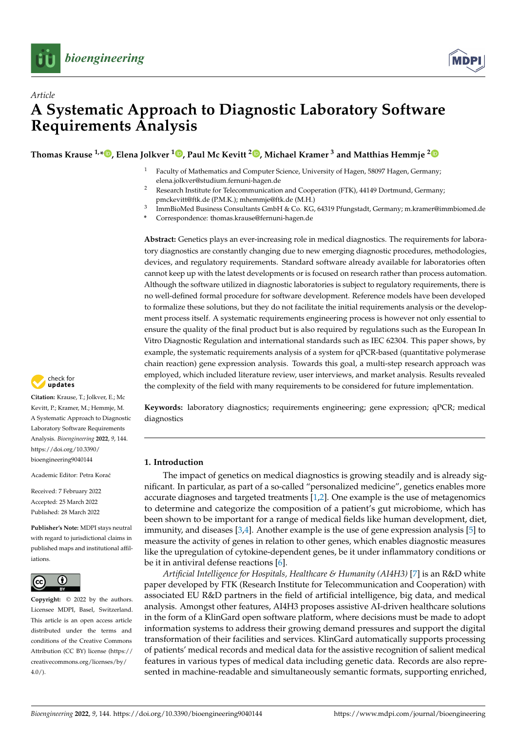



# *Article* **A Systematic Approach to Diagnostic Laboratory Software Requirements Analysis**

**Thomas Krause 1,\* [,](https://orcid.org/0000-0003-4912-1703) Elena Jolkver <sup>1</sup> [,](https://orcid.org/0000-0003-4711-6708) Paul Mc Kevitt <sup>2</sup> [,](https://orcid.org/0000-0001-9715-1590) Michael Kramer <sup>3</sup> and Matthias Hemmje [2](https://orcid.org/0000-0001-8293-2802)**

- Faculty of Mathematics and Computer Science, University of Hagen, 58097 Hagen, Germany; elena.jolkver@studium.fernuni-hagen.de
- <sup>2</sup> Research Institute for Telecommunication and Cooperation (FTK), 44149 Dortmund, Germany; pmckevitt@ftk.de (P.M.K.); mhemmje@ftk.de (M.H.)
- 3 ImmBioMed Business Consultants GmbH & Co. KG, 64319 Pfungstadt, Germany; m.kramer@immbiomed.de
- **\*** Correspondence: thomas.krause@fernuni-hagen.de

**Abstract:** Genetics plays an ever-increasing role in medical diagnostics. The requirements for laboratory diagnostics are constantly changing due to new emerging diagnostic procedures, methodologies, devices, and regulatory requirements. Standard software already available for laboratories often cannot keep up with the latest developments or is focused on research rather than process automation. Although the software utilized in diagnostic laboratories is subject to regulatory requirements, there is no well-defined formal procedure for software development. Reference models have been developed to formalize these solutions, but they do not facilitate the initial requirements analysis or the development process itself. A systematic requirements engineering process is however not only essential to ensure the quality of the final product but is also required by regulations such as the European In Vitro Diagnostic Regulation and international standards such as IEC 62304. This paper shows, by example, the systematic requirements analysis of a system for qPCR-based (quantitative polymerase chain reaction) gene expression analysis. Towards this goal, a multi-step research approach was employed, which included literature review, user interviews, and market analysis. Results revealed the complexity of the field with many requirements to be considered for future implementation.

**Keywords:** laboratory diagnostics; requirements engineering; gene expression; qPCR; medical diagnostics

### <span id="page-0-0"></span>**1. Introduction**

The impact of genetics on medical diagnostics is growing steadily and is already significant. In particular, as part of a so-called "personalized medicine", genetics enables more accurate diagnoses and targeted treatments [\[1](#page-12-0)[,2\]](#page-12-1). One example is the use of metagenomics to determine and categorize the composition of a patient's gut microbiome, which has been shown to be important for a range of medical fields like human development, diet, immunity, and diseases [\[3,](#page-12-2)[4\]](#page-12-3). Another example is the use of gene expression analysis [\[5\]](#page-12-4) to measure the activity of genes in relation to other genes, which enables diagnostic measures like the upregulation of cytokine-dependent genes, be it under inflammatory conditions or be it in antiviral defense reactions [\[6\]](#page-12-5).

*Artificial Intelligence for Hospitals, Healthcare & Humanity (AI4H3)* [\[7\]](#page-12-6) is an R&D white paper developed by FTK (Research Institute for Telecommunication and Cooperation) with associated EU R&D partners in the field of artificial intelligence, big data, and medical analysis. Amongst other features, AI4H3 proposes assistive AI-driven healthcare solutions in the form of a KlinGard open software platform, where decisions must be made to adopt information systems to address their growing demand pressures and support the digital transformation of their facilities and services. KlinGard automatically supports processing of patients' medical records and medical data for the assistive recognition of salient medical features in various types of medical data including genetic data. Records are also represented in machine-readable and simultaneously semantic formats, supporting enriched,



**Citation:** Krause, T.; Jolkver, E.; Mc Kevitt, P.; Kramer, M.; Hemmje, M. A Systematic Approach to Diagnostic Laboratory Software Requirements Analysis. *Bioengineering* **2022**, *9*, 144. [https://doi.org/10.3390/](https://doi.org/10.3390/bioengineering9040144) [bioengineering9040144](https://doi.org/10.3390/bioengineering9040144)

Academic Editor: Petra Korać

Received: 7 February 2022 Accepted: 25 March 2022 Published: 28 March 2022

**Publisher's Note:** MDPI stays neutral with regard to jurisdictional claims in published maps and institutional affiliations.



**Copyright:** © 2022 by the authors. Licensee MDPI, Basel, Switzerland. This article is an open access article distributed under the terms and conditions of the Creative Commons Attribution (CC BY) license [\(https://](https://creativecommons.org/licenses/by/4.0/) [creativecommons.org/licenses/by/](https://creativecommons.org/licenses/by/4.0/)  $4.0/$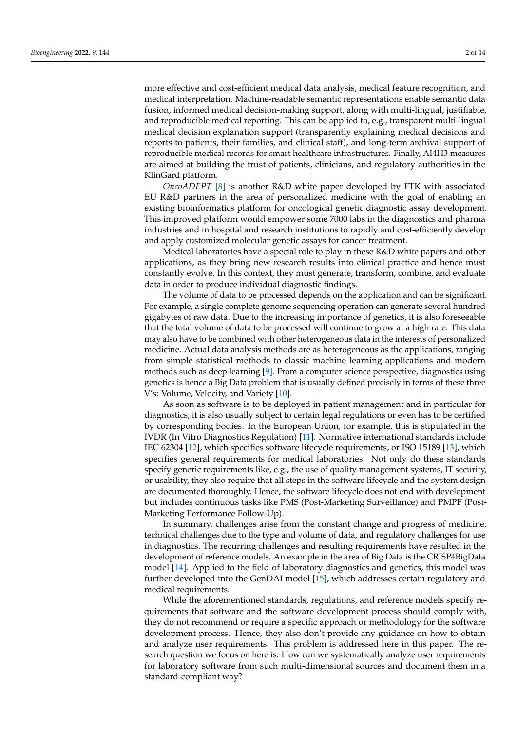more effective and cost-efficient medical data analysis, medical feature recognition, and medical interpretation. Machine-readable semantic representations enable semantic data fusion, informed medical decision-making support, along with multi-lingual, justifiable, and reproducible medical reporting. This can be applied to, e.g., transparent multi-lingual medical decision explanation support (transparently explaining medical decisions and reports to patients, their families, and clinical staff), and long-term archival support of reproducible medical records for smart healthcare infrastructures. Finally, AI4H3 measures are aimed at building the trust of patients, clinicians, and regulatory authorities in the KlinGard platform.

*OncoADEPT* [\[8\]](#page-12-7) is another R&D white paper developed by FTK with associated EU R&D partners in the area of personalized medicine with the goal of enabling an existing bioinformatics platform for oncological genetic diagnostic assay development. This improved platform would empower some 7000 labs in the diagnostics and pharma industries and in hospital and research institutions to rapidly and cost-efficiently develop and apply customized molecular genetic assays for cancer treatment.

Medical laboratories have a special role to play in these R&D white papers and other applications, as they bring new research results into clinical practice and hence must constantly evolve. In this context, they must generate, transform, combine, and evaluate data in order to produce individual diagnostic findings.

The volume of data to be processed depends on the application and can be significant. For example, a single complete genome sequencing operation can generate several hundred gigabytes of raw data. Due to the increasing importance of genetics, it is also foreseeable that the total volume of data to be processed will continue to grow at a high rate. This data may also have to be combined with other heterogeneous data in the interests of personalized medicine. Actual data analysis methods are as heterogeneous as the applications, ranging from simple statistical methods to classic machine learning applications and modern methods such as deep learning [\[9\]](#page-12-8). From a computer science perspective, diagnostics using genetics is hence a Big Data problem that is usually defined precisely in terms of these three V's: Volume, Velocity, and Variety [\[10\]](#page-12-9).

As soon as software is to be deployed in patient management and in particular for diagnostics, it is also usually subject to certain legal regulations or even has to be certified by corresponding bodies. In the European Union, for example, this is stipulated in the IVDR (In Vitro Diagnostics Regulation) [\[11\]](#page-12-10). Normative international standards include IEC 62304 [\[12\]](#page-12-11), which specifies software lifecycle requirements, or ISO 15189 [\[13\]](#page-12-12), which specifies general requirements for medical laboratories. Not only do these standards specify generic requirements like, e.g., the use of quality management systems, IT security, or usability, they also require that all steps in the software lifecycle and the system design are documented thoroughly. Hence, the software lifecycle does not end with development but includes continuous tasks like PMS (Post-Marketing Surveillance) and PMPF (Post-Marketing Performance Follow-Up).

In summary, challenges arise from the constant change and progress of medicine, technical challenges due to the type and volume of data, and regulatory challenges for use in diagnostics. The recurring challenges and resulting requirements have resulted in the development of reference models. An example in the area of Big Data is the CRISP4BigData model [\[14\]](#page-12-13). Applied to the field of laboratory diagnostics and genetics, this model was further developed into the GenDAI model [\[15\]](#page-12-14), which addresses certain regulatory and medical requirements.

While the aforementioned standards, regulations, and reference models specify requirements that software and the software development process should comply with, they do not recommend or require a specific approach or methodology for the software development process. Hence, they also don't provide any guidance on how to obtain and analyze user requirements. This problem is addressed here in this paper. The research question we focus on here is: How can we systematically analyze user requirements for laboratory software from such multi-dimensional sources and document them in a standard-compliant way?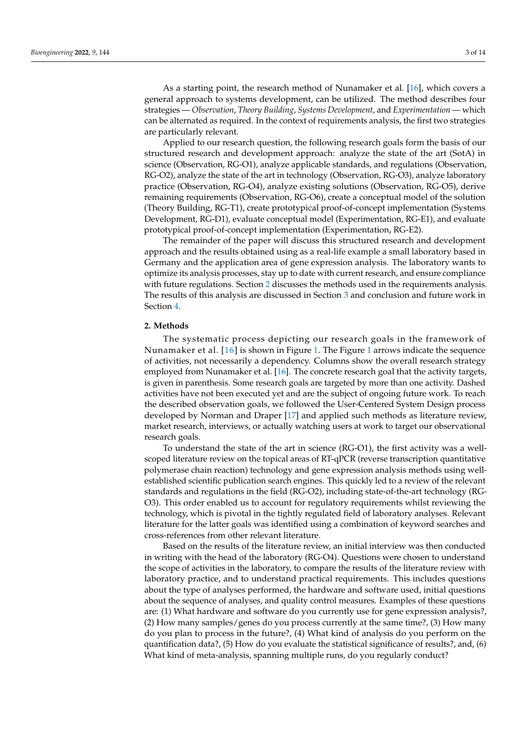As a starting point, the research method of Nunamaker et al. [\[16\]](#page-12-15), which covers a general approach to systems development, can be utilized. The method describes four strategies — *Observation*, *Theory Building*, *Systems Development*, and *Experimentation* — which can be alternated as required. In the context of requirements analysis, the first two strategies are particularly relevant.

Applied to our research question, the following research goals form the basis of our structured research and development approach: analyze the state of the art (SotA) in science (Observation, RG-O1), analyze applicable standards, and regulations (Observation, RG-O2), analyze the state of the art in technology (Observation, RG-O3), analyze laboratory practice (Observation, RG-O4), analyze existing solutions (Observation, RG-O5), derive remaining requirements (Observation, RG-O6), create a conceptual model of the solution (Theory Building, RG-T1), create prototypical proof-of-concept implementation (Systems Development, RG-D1), evaluate conceptual model (Experimentation, RG-E1), and evaluate prototypical proof-of-concept implementation (Experimentation, RG-E2).

The remainder of the paper will discuss this structured research and development approach and the results obtained using as a real-life example a small laboratory based in Germany and the application area of gene expression analysis. The laboratory wants to optimize its analysis processes, stay up to date with current research, and ensure compliance with future regulations. Section [2](#page-2-0) discusses the methods used in the requirements analysis. The results of this analysis are discussed in Section [3](#page-5-0) and conclusion and future work in Section [4.](#page-11-0)

#### <span id="page-2-0"></span>**2. Methods**

The systematic process depicting our research goals in the framework of Nunamaker et al. [\[16\]](#page-12-15) is shown in Figure [1.](#page-3-0) The Figure [1](#page-3-0) arrows indicate the sequence of activities, not necessarily a dependency. Columns show the overall research strategy employed from Nunamaker et al. [\[16\]](#page-12-15). The concrete research goal that the activity targets, is given in parenthesis. Some research goals are targeted by more than one activity. Dashed activities have not been executed yet and are the subject of ongoing future work. To reach the described observation goals, we followed the User-Centered System Design process developed by Norman and Draper [\[17\]](#page-12-16) and applied such methods as literature review, market research, interviews, or actually watching users at work to target our observational research goals.

To understand the state of the art in science (RG-O1), the first activity was a wellscoped literature review on the topical areas of RT-qPCR (reverse transcription quantitative polymerase chain reaction) technology and gene expression analysis methods using wellestablished scientific publication search engines. This quickly led to a review of the relevant standards and regulations in the field (RG-O2), including state-of-the-art technology (RG-O3). This order enabled us to account for regulatory requirements whilst reviewing the technology, which is pivotal in the tightly regulated field of laboratory analyses. Relevant literature for the latter goals was identified using a combination of keyword searches and cross-references from other relevant literature.

Based on the results of the literature review, an initial interview was then conducted in writing with the head of the laboratory (RG-O4). Questions were chosen to understand the scope of activities in the laboratory, to compare the results of the literature review with laboratory practice, and to understand practical requirements. This includes questions about the type of analyses performed, the hardware and software used, initial questions about the sequence of analyses, and quality control measures. Examples of these questions are: (1) What hardware and software do you currently use for gene expression analysis?, (2) How many samples/genes do you process currently at the same time?, (3) How many do you plan to process in the future?, (4) What kind of analysis do you perform on the quantification data?, (5) How do you evaluate the statistical significance of results?, and, (6) What kind of meta-analysis, spanning multiple runs, do you regularly conduct?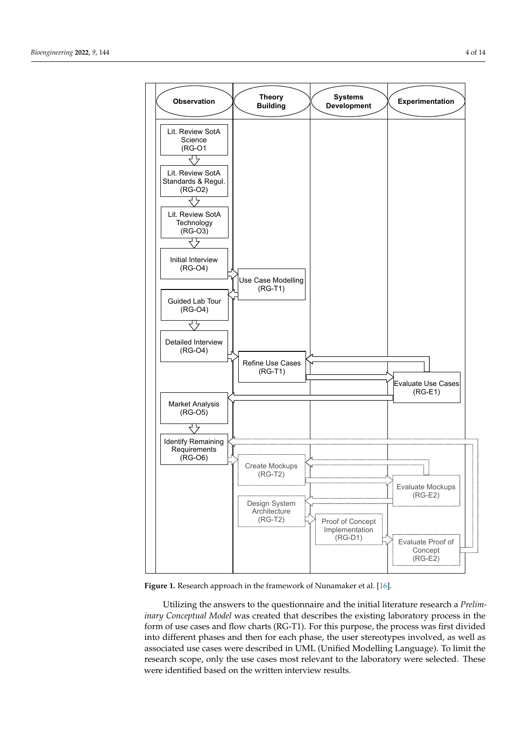<span id="page-3-0"></span>

**Figure 1.** Research approach in the framework of Nunamaker et al. [\[16\]](#page-12-15).

Utilizing the answers to the questionnaire and the initial literature research a *Preliminary Conceptual Model* was created that describes the existing laboratory process in the form of use cases and flow charts (RG-T1). For this purpose, the process was first divided into different phases and then for each phase, the user stereotypes involved, as well as associated use cases were described in UML (Unified Modelling Language). To limit the research scope, only the use cases most relevant to the laboratory were selected. These were identified based on the written interview results.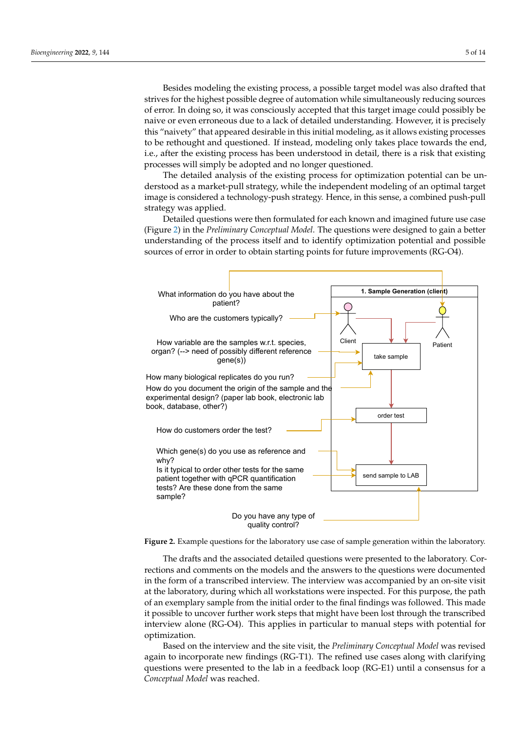Besides modeling the existing process, a possible target model was also drafted that strives for the highest possible degree of automation while simultaneously reducing sources of error. In doing so, it was consciously accepted that this target image could possibly be naive or even erroneous due to a lack of detailed understanding. However, it is precisely this "naivety" that appeared desirable in this initial modeling, as it allows existing processes to be rethought and questioned. If instead, modeling only takes place towards the end, i.e., after the existing process has been understood in detail, there is a risk that existing processes will simply be adopted and no longer questioned.

The detailed analysis of the existing process for optimization potential can be understood as a market-pull strategy, while the independent modeling of an optimal target image is considered a technology-push strategy. Hence, in this sense, a combined push-pull strategy was applied.

Detailed questions were then formulated for each known and imagined future use case (Figure [2\)](#page-4-0) in the *Preliminary Conceptual Model*. The questions were designed to gain a better understanding of the process itself and to identify optimization potential and possible sources of error in order to obtain starting points for future improvements (RG-O4).

<span id="page-4-0"></span>

**Figure 2.** Example questions for the laboratory use case of sample generation within the laboratory.

The drafts and the associated detailed questions were presented to the laboratory. Corrections and comments on the models and the answers to the questions were documented in the form of a transcribed interview. The interview was accompanied by an on-site visit at the laboratory, during which all workstations were inspected. For this purpose, the path of an exemplary sample from the initial order to the final findings was followed. This made it possible to uncover further work steps that might have been lost through the transcribed interview alone (RG-O4). This applies in particular to manual steps with potential for optimization.

Based on the interview and the site visit, the *Preliminary Conceptual Model* was revised again to incorporate new findings (RG-T1). The refined use cases along with clarifying questions were presented to the lab in a feedback loop (RG-E1) until a consensus for a *Conceptual Model* was reached.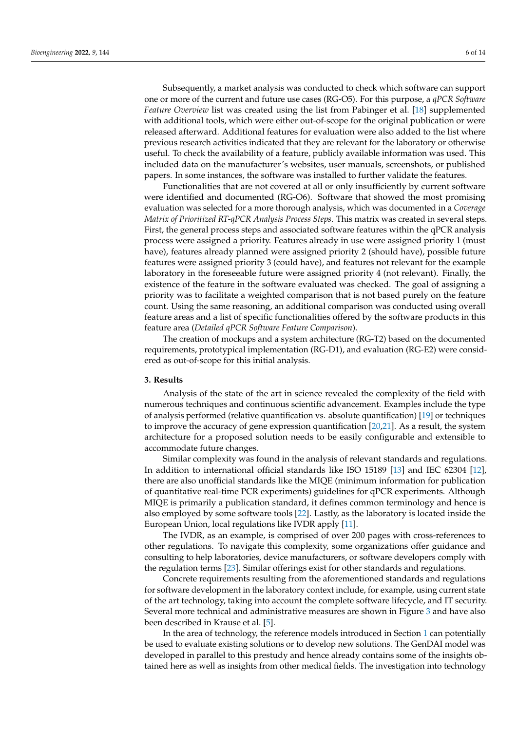Subsequently, a market analysis was conducted to check which software can support one or more of the current and future use cases (RG-O5). For this purpose, a *qPCR Software Feature Overview* list was created using the list from Pabinger et al. [\[18\]](#page-12-17) supplemented with additional tools, which were either out-of-scope for the original publication or were released afterward. Additional features for evaluation were also added to the list where previous research activities indicated that they are relevant for the laboratory or otherwise useful. To check the availability of a feature, publicly available information was used. This included data on the manufacturer's websites, user manuals, screenshots, or published papers. In some instances, the software was installed to further validate the features.

Functionalities that are not covered at all or only insufficiently by current software were identified and documented (RG-O6). Software that showed the most promising evaluation was selected for a more thorough analysis, which was documented in a *Coverage Matrix of Prioritized RT-qPCR Analysis Process Steps*. This matrix was created in several steps. First, the general process steps and associated software features within the qPCR analysis process were assigned a priority. Features already in use were assigned priority 1 (must have), features already planned were assigned priority 2 (should have), possible future features were assigned priority 3 (could have), and features not relevant for the example laboratory in the foreseeable future were assigned priority 4 (not relevant). Finally, the existence of the feature in the software evaluated was checked. The goal of assigning a priority was to facilitate a weighted comparison that is not based purely on the feature count. Using the same reasoning, an additional comparison was conducted using overall feature areas and a list of specific functionalities offered by the software products in this feature area (*Detailed qPCR Software Feature Comparison*).

The creation of mockups and a system architecture (RG-T2) based on the documented requirements, prototypical implementation (RG-D1), and evaluation (RG-E2) were considered as out-of-scope for this initial analysis.

#### <span id="page-5-0"></span>**3. Results**

Analysis of the state of the art in science revealed the complexity of the field with numerous techniques and continuous scientific advancement. Examples include the type of analysis performed (relative quantification vs. absolute quantification) [\[19\]](#page-12-18) or techniques to improve the accuracy of gene expression quantification [\[20,](#page-12-19)[21\]](#page-12-20). As a result, the system architecture for a proposed solution needs to be easily configurable and extensible to accommodate future changes.

Similar complexity was found in the analysis of relevant standards and regulations. In addition to international official standards like ISO 15189 [\[13\]](#page-12-12) and IEC 62304 [\[12\]](#page-12-11), there are also unofficial standards like the MIQE (minimum information for publication of quantitative real-time PCR experiments) guidelines for qPCR experiments. Although MIQE is primarily a publication standard, it defines common terminology and hence is also employed by some software tools [\[22\]](#page-12-21). Lastly, as the laboratory is located inside the European Union, local regulations like IVDR apply [\[11\]](#page-12-10).

The IVDR, as an example, is comprised of over 200 pages with cross-references to other regulations. To navigate this complexity, some organizations offer guidance and consulting to help laboratories, device manufacturers, or software developers comply with the regulation terms [\[23\]](#page-12-22). Similar offerings exist for other standards and regulations.

Concrete requirements resulting from the aforementioned standards and regulations for software development in the laboratory context include, for example, using current state of the art technology, taking into account the complete software lifecycle, and IT security. Several more technical and administrative measures are shown in Figure [3](#page-6-0) and have also been described in Krause et al. [\[5\]](#page-12-4).

In the area of technology, the reference models introduced in Section [1](#page-0-0) can potentially be used to evaluate existing solutions or to develop new solutions. The GenDAI model was developed in parallel to this prestudy and hence already contains some of the insights obtained here as well as insights from other medical fields. The investigation into technology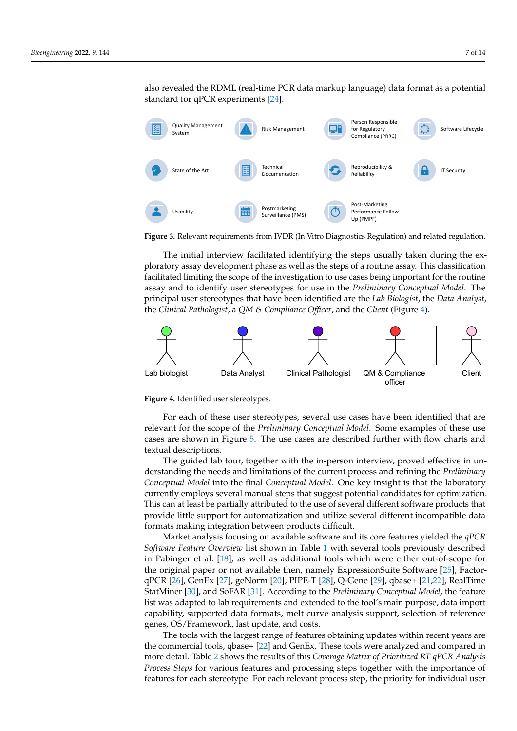also revealed the RDML (real-time PCR data markup language) data format as a potential standard for qPCR experiments [\[24\]](#page-12-23).

<span id="page-6-0"></span>

**Figure 3.** Relevant requirements from IVDR (In Vitro Diagnostics Regulation) and related regulation.

The initial interview facilitated identifying the steps usually taken during the exploratory assay development phase as well as the steps of a routine assay. This classification facilitated limiting the scope of the investigation to use cases being important for the routine assay and to identify user stereotypes for use in the *Preliminary Conceptual Model*. The principal user stereotypes that have been identified are the *Lab Biologist*, the *Data Analyst*, the *Clinical Pathologist*, a *QM & Compliance Officer*, and the *Client* (Figure [4\)](#page-6-1).

<span id="page-6-1"></span>

**Figure 4.** Identified user stereotypes.

For each of these user stereotypes, several use cases have been identified that are relevant for the scope of the *Preliminary Conceptual Model*. Some examples of these use cases are shown in Figure [5.](#page-7-0) The use cases are described further with flow charts and textual descriptions.

The guided lab tour, together with the in-person interview, proved effective in understanding the needs and limitations of the current process and refining the *Preliminary Conceptual Model* into the final *Conceptual Model*. One key insight is that the laboratory currently employs several manual steps that suggest potential candidates for optimization. This can at least be partially attributed to the use of several different software products that provide little support for automatization and utilize several different incompatible data formats making integration between products difficult.

Market analysis focusing on available software and its core features yielded the *qPCR Software Feature Overview* list shown in Table [1](#page-8-0) with several tools previously described in Pabinger et al. [\[18\]](#page-12-17), as well as additional tools which were either out-of-scope for the original paper or not available then, namely ExpressionSuite Software [\[25\]](#page-12-24), FactorqPCR [\[26\]](#page-12-25), GenEx [\[27\]](#page-12-26), geNorm [\[20\]](#page-12-19), PIPE-T [\[28\]](#page-12-27), Q-Gene [\[29\]](#page-13-0), qbase+ [\[21,](#page-12-20)[22\]](#page-12-21), RealTime StatMiner [\[30\]](#page-13-1), and SoFAR [\[31\]](#page-13-2). According to the *Preliminary Conceptual Model*, the feature list was adapted to lab requirements and extended to the tool's main purpose, data import capability, supported data formats, melt curve analysis support, selection of reference genes, OS/Framework, last update, and costs.

The tools with the largest range of features obtaining updates within recent years are the commercial tools, qbase+ [\[22\]](#page-12-21) and GenEx. These tools were analyzed and compared in more detail. Table [2](#page-9-0) shows the results of this *Coverage Matrix of Prioritized RT-qPCR Analysis Process Steps* for various features and processing steps together with the importance of features for each stereotype. For each relevant process step, the priority for individual user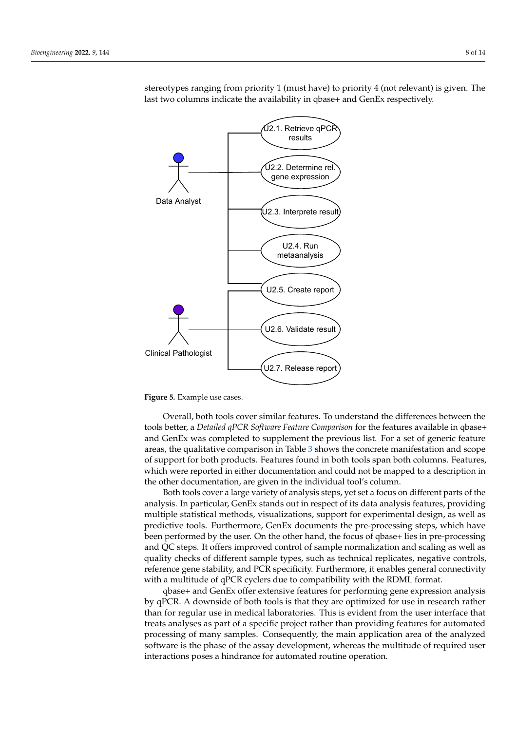<span id="page-7-0"></span>

stereotypes ranging from priority 1 (must have) to priority 4 (not relevant) is given. The last two columns indicate the availability in qbase+ and GenEx respectively.

**Figure 5.** Example use cases.

Overall, both tools cover similar features. To understand the differences between the tools better, a *Detailed qPCR Software Feature Comparison* for the features available in qbase+ and GenEx was completed to supplement the previous list. For a set of generic feature areas, the qualitative comparison in Table [3](#page-10-0) shows the concrete manifestation and scope of support for both products. Features found in both tools span both columns. Features, which were reported in either documentation and could not be mapped to a description in the other documentation, are given in the individual tool's column.

Both tools cover a large variety of analysis steps, yet set a focus on different parts of the analysis. In particular, GenEx stands out in respect of its data analysis features, providing multiple statistical methods, visualizations, support for experimental design, as well as predictive tools. Furthermore, GenEx documents the pre-processing steps, which have been performed by the user. On the other hand, the focus of qbase+ lies in pre-processing and QC steps. It offers improved control of sample normalization and scaling as well as quality checks of different sample types, such as technical replicates, negative controls, reference gene stability, and PCR specificity. Furthermore, it enables general connectivity with a multitude of qPCR cyclers due to compatibility with the RDML format.

qbase+ and GenEx offer extensive features for performing gene expression analysis by qPCR. A downside of both tools is that they are optimized for use in research rather than for regular use in medical laboratories. This is evident from the user interface that treats analyses as part of a specific project rather than providing features for automated processing of many samples. Consequently, the main application area of the analyzed software is the phase of the assay development, whereas the multitude of required user interactions poses a hindrance for automated routine operation.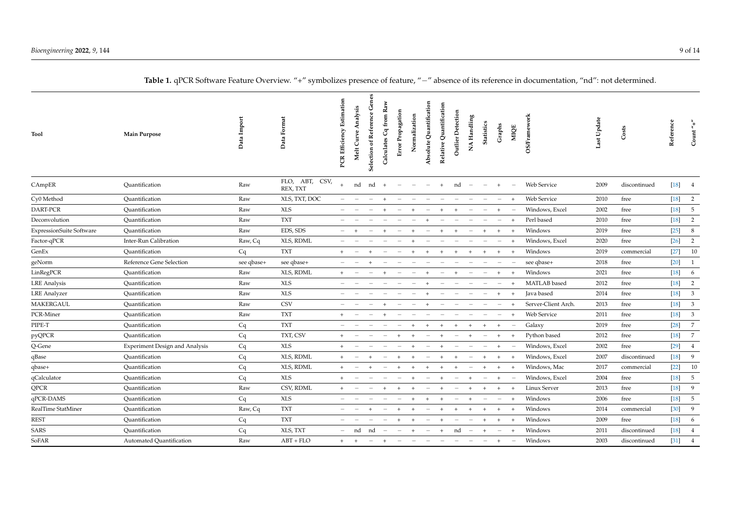<span id="page-8-0"></span>

| Tool                            | <b>Main Purpose</b>                   | Data Import | Data Format                | Estimation<br>PCR Efficiency | Melt Curve Analysis | Genes<br>Selection of Reference | from Raw<br>Calculates Cq | Error Propagation | Normalization | Absolute Quantification | Relative Quantification | Outlier Detection | NA Handling              | <b>Statistics</b> |     | Graphs                   | MIQE           | <b>OS/Framework</b> | Last Update | Costs        | Reference                     | Count          |
|---------------------------------|---------------------------------------|-------------|----------------------------|------------------------------|---------------------|---------------------------------|---------------------------|-------------------|---------------|-------------------------|-------------------------|-------------------|--------------------------|-------------------|-----|--------------------------|----------------|---------------------|-------------|--------------|-------------------------------|----------------|
| CAmpER                          | Quantification                        | Raw         | FLO, ABT, CSV,<br>REX, TXT | $\pm$                        | nd                  | nd                              | $+$                       |                   |               |                         |                         | nd                |                          |                   |     |                          |                | Web Service         | 2009        | discontinued | $\left\lceil 18 \right\rceil$ | 4              |
| Cy0 Method                      | Quantification                        | Raw         | XLS, TXT, DOC              |                              |                     |                                 |                           |                   |               |                         |                         |                   |                          |                   |     |                          |                | Web Service         | 2010        | free         | $[18]$                        | $\overline{2}$ |
| DART-PCR                        | Ouantification                        | Raw         | <b>XLS</b>                 |                              |                     |                                 |                           |                   |               |                         |                         |                   |                          |                   | $+$ |                          |                | Windows, Excel      | 2002        | free         | $[18]$                        | $\sqrt{5}$     |
| Deconvolution                   | Ouantification                        | Raw         | <b>TXT</b>                 |                              |                     |                                 |                           |                   |               |                         |                         |                   |                          |                   |     | $\frac{1}{2}$            | $\overline{+}$ | Perl based          | 2010        | free         | $[18]$                        | $\overline{2}$ |
| <b>ExpressionSuite Software</b> | Ouantification                        | Raw         | EDS, SDS                   |                              |                     |                                 |                           |                   |               |                         |                         |                   |                          |                   | $+$ |                          |                | Windows             | 2019        | free         | $[25]$                        | 8              |
| Factor-qPCR                     | <b>Inter-Run Calibration</b>          | Raw, Cq     | XLS, RDML                  |                              |                     |                                 |                           |                   |               |                         |                         |                   |                          |                   |     |                          |                | Windows, Excel      | 2020        | free         | $[26]$                        | $\overline{2}$ |
| GenEx                           | Quantification                        | Cq          | <b>TXT</b>                 |                              |                     |                                 |                           |                   |               |                         |                         |                   | $\overline{+}$           | $+$               | $+$ |                          |                | Windows             | 2019        | commercial   | $[27]$                        | 10             |
| geNorm                          | Reference Gene Selection              | see qbase+  | see qbase+                 |                              |                     |                                 |                           |                   |               |                         |                         |                   |                          |                   |     |                          |                | see qbase+          | 2018        | free         | $[20]$                        | 1              |
| LinRegPCR                       | Ouantification                        | Raw         | XLS, RDML                  |                              |                     |                                 |                           |                   |               |                         |                         |                   |                          |                   | $+$ |                          |                | Windows             | 2021        | free         | $[18]$                        | 6              |
| <b>LRE</b> Analysis             | Ouantification                        | Raw         | <b>XLS</b>                 |                              |                     |                                 |                           |                   |               |                         |                         |                   |                          |                   |     |                          |                | MATLAB based        | 2012        | free         | $[18]$                        | $\overline{2}$ |
| <b>LRE</b> Analyzer             | Quantification                        | Raw         | <b>XLS</b>                 |                              |                     |                                 |                           |                   |               |                         |                         |                   |                          |                   |     |                          |                | Java based          | 2014        | free         | $[18]$                        | $\mathbf{3}$   |
| <b>MAKERGAUL</b>                | Quantification                        | Raw         | <b>CSV</b>                 |                              |                     |                                 |                           |                   |               |                         |                         |                   |                          |                   |     |                          |                | Server-Client Arch. | 2013        | free         | $[18]$                        | $\mathbf{3}$   |
| PCR-Miner                       | Quantification                        | Raw         | <b>TXT</b>                 | $+$                          |                     |                                 |                           |                   |               |                         |                         |                   |                          |                   |     |                          |                | Web Service         | 2011        | free         | $[18]$                        | $\mathbf{3}$   |
| PIPE-T                          | Quantification                        | Cq          | <b>TXT</b>                 |                              |                     |                                 |                           |                   |               |                         |                         |                   |                          |                   | $+$ |                          |                | Galaxy              | 2019        | free         | $[28]$                        | $\overline{7}$ |
| pyQPCR                          | Quantification                        | Cq          | TXT, CSV                   |                              |                     |                                 |                           |                   |               |                         |                         |                   |                          |                   |     |                          |                | Python based        | 2012        | free         | $[18]$                        | $\overline{7}$ |
| Q-Gene                          | <b>Experiment Design and Analysis</b> | Cq          | <b>XLS</b>                 |                              |                     |                                 |                           |                   |               |                         |                         |                   |                          |                   | $+$ |                          |                | Windows, Excel      | 2002        | free         | $[29]$                        | $\overline{4}$ |
| qBase                           | Quantification                        | Cq          | XLS, RDML                  | $+$                          |                     |                                 |                           |                   |               |                         |                         |                   |                          |                   | $+$ |                          |                | Windows, Excel      | 2007        | discontinued | $[18]$                        | 9              |
| qbase+                          | Quantification                        | Cq          | XLS, RDML                  | $+$                          |                     |                                 |                           |                   |               |                         |                         |                   |                          |                   | $+$ |                          |                | Windows, Mac        | 2017        | commercial   | $[22]$                        | 10             |
| qCalculator                     | Quantification                        | Cq          | <b>XLS</b>                 |                              |                     |                                 |                           |                   |               |                         |                         |                   |                          |                   | $+$ |                          |                | Windows, Excel      | 2004        | free         | $[18]$                        | $\overline{5}$ |
| <b>QPCR</b>                     | Quantification                        | Raw         | CSV, RDML                  |                              |                     |                                 |                           |                   |               |                         |                         |                   |                          |                   |     |                          |                | Linux Server        | 2013        | free         | $[18]$                        | 9              |
| qPCR-DAMS                       | Quantification                        | Cq          | <b>XLS</b>                 |                              |                     |                                 |                           |                   |               |                         |                         |                   |                          |                   |     | $\overline{\phantom{m}}$ |                | Windows             | 2006        | free         | $[18]$                        | $\overline{5}$ |
| RealTime StatMiner              | Quantification                        | Raw, Cq     | <b>TXT</b>                 |                              |                     |                                 |                           |                   |               |                         |                         |                   |                          |                   | $+$ |                          |                | Windows             | 2014        | commercial   | $[30]$                        | 9              |
| <b>REST</b>                     | Quantification                        | Cq          | <b>TXT</b>                 |                              |                     |                                 |                           |                   |               |                         |                         |                   |                          |                   |     | $+$                      | $\overline{+}$ | Windows             | 2009        | free         | $[18]$                        | 6              |
| SARS                            | Quantification                        | Cq          | XLS, TXT                   |                              | nd                  | nd                              |                           |                   |               |                         | $+$                     | nd                | $\overline{\phantom{a}}$ | $+$               |     | $\overline{\phantom{m}}$ | $+$            | Windows             | 2011        | discontinued | $[18]$                        | $\overline{4}$ |
| SoFAR                           | Automated Quantification              | Raw         | $ABT + FLO$                | $+$                          | $+$                 | $\overline{\phantom{m}}$        | $+$                       |                   |               |                         |                         |                   |                          |                   |     |                          |                | Windows             | 2003        | discontinued | $[31]$                        | $\overline{4}$ |

# Table 1. qPCR Software Feature Overview. "+" symbolizes presence of feature, "-" absence of its reference in documentation, "nd": not determined.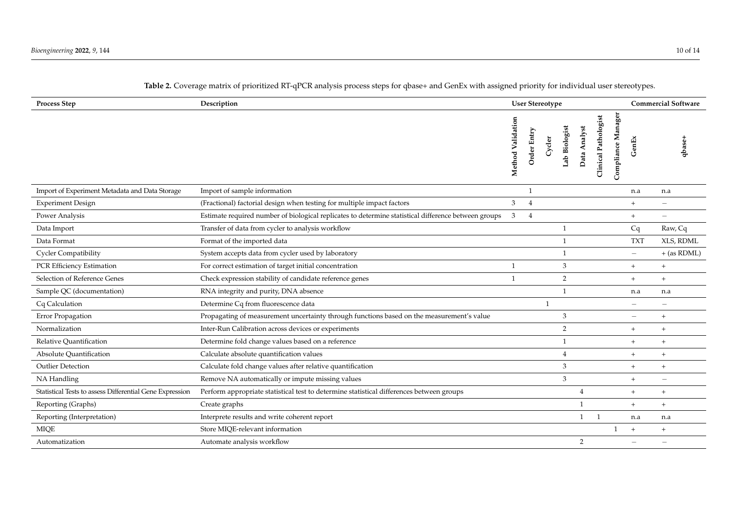<span id="page-9-0"></span>

| <b>Process Step</b>                                      | Description                                                                                          | <b>User Stereotype</b> |                |              |                |                |                             |                    |                          | <b>Commercial Software</b>       |
|----------------------------------------------------------|------------------------------------------------------------------------------------------------------|------------------------|----------------|--------------|----------------|----------------|-----------------------------|--------------------|--------------------------|----------------------------------|
|                                                          |                                                                                                      | Method Validation      | Order Entry    | Cycler       | Lab Biologist  | Data Analyst   | <b>Clinical Pathologist</b> | Compliance Manager | enEx<br>U                | qbase+                           |
| Import of Experiment Metadata and Data Storage           | Import of sample information                                                                         |                        |                |              |                |                |                             |                    | n.a                      | n.a                              |
| <b>Experiment Design</b>                                 | (Fractional) factorial design when testing for multiple impact factors                               | 3                      | $\overline{4}$ |              |                |                |                             |                    | $+$                      |                                  |
| Power Analysis                                           | Estimate required number of biological replicates to determine statistical difference between groups | 3                      | $\overline{4}$ |              |                |                |                             |                    | $+$                      |                                  |
| Data Import                                              | Transfer of data from cycler to analysis workflow                                                    |                        |                |              | $\mathbf{1}$   |                |                             |                    | Cq                       | Raw, Cq                          |
| Data Format                                              | Format of the imported data                                                                          |                        |                |              | $\mathbf{1}$   |                |                             |                    | <b>TXT</b>               | XLS, RDML                        |
| <b>Cycler Compatibility</b>                              | System accepts data from cycler used by laboratory                                                   |                        |                |              | $\overline{1}$ |                |                             |                    | $\qquad \qquad =$        | $+$ (as RDML)                    |
| PCR Efficiency Estimation                                | For correct estimation of target initial concentration                                               | $\mathbf{1}$           |                |              | 3              |                |                             |                    | $+$                      | $+$                              |
| Selection of Reference Genes                             | Check expression stability of candidate reference genes                                              | $\mathbf{1}$           |                |              | 2              |                |                             |                    | $+$                      | $+$                              |
| Sample QC (documentation)                                | RNA integrity and purity, DNA absence                                                                |                        |                |              | $\overline{1}$ |                |                             |                    | n.a                      | n.a                              |
| Cq Calculation                                           | Determine Cq from fluorescence data                                                                  |                        |                | $\mathbf{1}$ |                |                |                             |                    | $\overline{\phantom{0}}$ | $\frac{1}{2}$                    |
| Error Propagation                                        | Propagating of measurement uncertainty through functions based on the measurement's value            |                        |                |              | 3              |                |                             |                    | $\overline{\phantom{m}}$ | $+$                              |
| Normalization                                            | Inter-Run Calibration across devices or experiments                                                  |                        |                |              | 2              |                |                             |                    | $+$                      | $+$                              |
| Relative Quantification                                  | Determine fold change values based on a reference                                                    |                        |                |              | $\mathbf{1}$   |                |                             |                    | $+$                      | $^{+}$                           |
| Absolute Quantification                                  | Calculate absolute quantification values                                                             |                        |                |              | $\overline{4}$ |                |                             |                    | $^{+}$                   | $\begin{array}{c} + \end{array}$ |
| <b>Outlier Detection</b>                                 | Calculate fold change values after relative quantification                                           |                        |                |              | 3              |                |                             |                    | $+$                      | $+$                              |
| NA Handling                                              | Remove NA automatically or impute missing values                                                     |                        |                |              | 3              |                |                             |                    | $+$                      | $\overline{\phantom{m}}$         |
| Statistical Tests to assess Differential Gene Expression | Perform appropriate statistical test to determine statistical differences between groups             |                        |                |              |                | 4              |                             |                    | $+$                      | $^{+}$                           |
| Reporting (Graphs)                                       | Create graphs                                                                                        |                        |                |              |                | $\mathbf{1}$   |                             |                    | $+$                      | $+$                              |
| Reporting (Interpretation)                               | Interprete results and write coherent report                                                         |                        |                |              |                | $\mathbf{1}$   | $\overline{1}$              |                    | n.a                      | n.a                              |
| <b>MIQE</b>                                              | Store MIQE-relevant information                                                                      |                        |                |              |                |                |                             | $\mathbf{1}$       | $+$                      | $+$                              |
| Automatization                                           | Automate analysis workflow                                                                           |                        |                |              |                | $\overline{2}$ |                             |                    |                          |                                  |

# **Table 2.** Coverage matrix of prioritized RT-qPCR analysis process steps for qbase+ and GenEx with assigned priority for individual user stereotypes.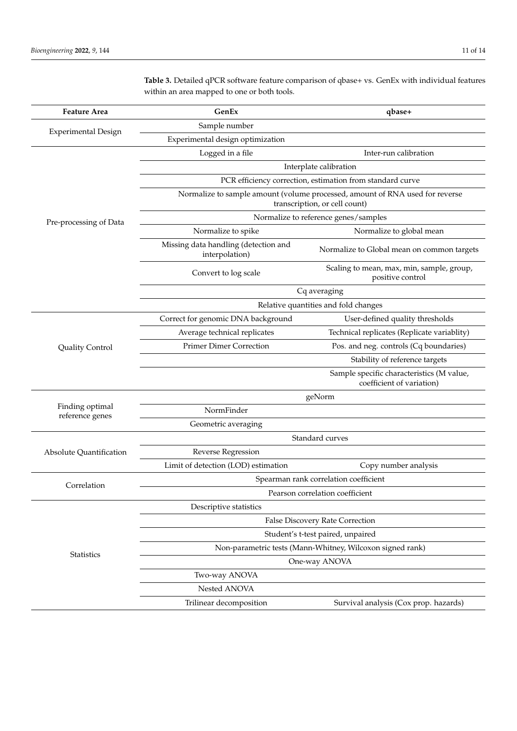| <b>Feature Area</b>                | GenEx                                                                                                         | qbase+                                                                 |  |  |  |  |  |  |  |  |  |
|------------------------------------|---------------------------------------------------------------------------------------------------------------|------------------------------------------------------------------------|--|--|--|--|--|--|--|--|--|
|                                    | Sample number                                                                                                 |                                                                        |  |  |  |  |  |  |  |  |  |
| Experimental Design                | Experimental design optimization                                                                              |                                                                        |  |  |  |  |  |  |  |  |  |
|                                    | Logged in a file                                                                                              | Inter-run calibration                                                  |  |  |  |  |  |  |  |  |  |
|                                    | Interplate calibration                                                                                        |                                                                        |  |  |  |  |  |  |  |  |  |
|                                    | PCR efficiency correction, estimation from standard curve                                                     |                                                                        |  |  |  |  |  |  |  |  |  |
|                                    | Normalize to sample amount (volume processed, amount of RNA used for reverse<br>transcription, or cell count) |                                                                        |  |  |  |  |  |  |  |  |  |
| Pre-processing of Data             |                                                                                                               | Normalize to reference genes/samples                                   |  |  |  |  |  |  |  |  |  |
|                                    | Normalize to spike                                                                                            | Normalize to global mean                                               |  |  |  |  |  |  |  |  |  |
|                                    | Missing data handling (detection and<br>interpolation)                                                        | Normalize to Global mean on common targets                             |  |  |  |  |  |  |  |  |  |
|                                    | Convert to log scale                                                                                          | Scaling to mean, max, min, sample, group,<br>positive control          |  |  |  |  |  |  |  |  |  |
|                                    | Cq averaging                                                                                                  |                                                                        |  |  |  |  |  |  |  |  |  |
|                                    | Relative quantities and fold changes                                                                          |                                                                        |  |  |  |  |  |  |  |  |  |
|                                    | Correct for genomic DNA background                                                                            | User-defined quality thresholds                                        |  |  |  |  |  |  |  |  |  |
|                                    | Average technical replicates                                                                                  | Technical replicates (Replicate variablity)                            |  |  |  |  |  |  |  |  |  |
| Quality Control                    | <b>Primer Dimer Correction</b>                                                                                | Pos. and neg. controls (Cq boundaries)                                 |  |  |  |  |  |  |  |  |  |
|                                    |                                                                                                               | Stability of reference targets                                         |  |  |  |  |  |  |  |  |  |
|                                    |                                                                                                               | Sample specific characteristics (M value,<br>coefficient of variation) |  |  |  |  |  |  |  |  |  |
|                                    |                                                                                                               | geNorm                                                                 |  |  |  |  |  |  |  |  |  |
| Finding optimal<br>reference genes | NormFinder                                                                                                    |                                                                        |  |  |  |  |  |  |  |  |  |
|                                    | Geometric averaging                                                                                           |                                                                        |  |  |  |  |  |  |  |  |  |
|                                    | Standard curves                                                                                               |                                                                        |  |  |  |  |  |  |  |  |  |
| Absolute Quantification            | Reverse Regression                                                                                            |                                                                        |  |  |  |  |  |  |  |  |  |
|                                    | Limit of detection (LOD) estimation                                                                           | Copy number analysis                                                   |  |  |  |  |  |  |  |  |  |
| Correlation                        | Spearman rank correlation coefficient                                                                         |                                                                        |  |  |  |  |  |  |  |  |  |
|                                    | Pearson correlation coefficient                                                                               |                                                                        |  |  |  |  |  |  |  |  |  |
|                                    | Descriptive statistics                                                                                        |                                                                        |  |  |  |  |  |  |  |  |  |
|                                    | False Discovery Rate Correction                                                                               |                                                                        |  |  |  |  |  |  |  |  |  |
|                                    | Student's t-test paired, unpaired                                                                             |                                                                        |  |  |  |  |  |  |  |  |  |
| <b>Statistics</b>                  | Non-parametric tests (Mann-Whitney, Wilcoxon signed rank)                                                     |                                                                        |  |  |  |  |  |  |  |  |  |
|                                    | One-way ANOVA                                                                                                 |                                                                        |  |  |  |  |  |  |  |  |  |
|                                    | Two-way ANOVA                                                                                                 |                                                                        |  |  |  |  |  |  |  |  |  |
|                                    | Nested ANOVA                                                                                                  |                                                                        |  |  |  |  |  |  |  |  |  |
|                                    | Trilinear decomposition                                                                                       | Survival analysis (Cox prop. hazards)                                  |  |  |  |  |  |  |  |  |  |

<span id="page-10-0"></span>**Table 3.** Detailed qPCR software feature comparison of qbase+ vs. GenEx with individual features within an area mapped to one or both tools.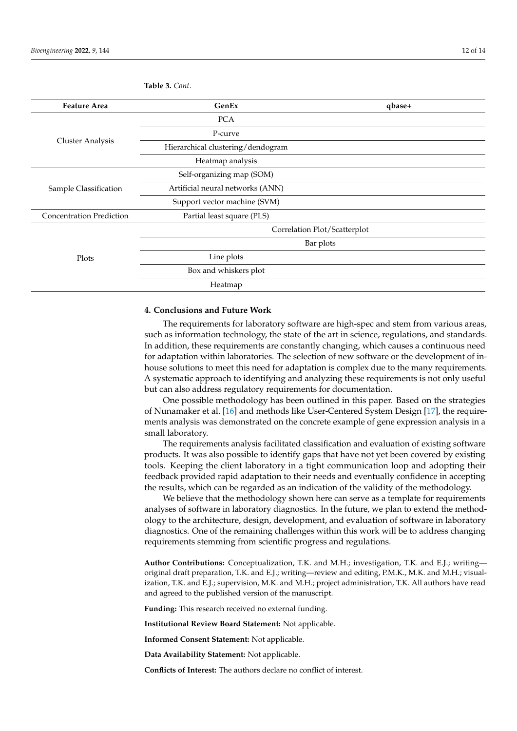| <b>Feature Area</b>             | GenEx                             | qbase+ |  |  |  |  |  |  |
|---------------------------------|-----------------------------------|--------|--|--|--|--|--|--|
|                                 | <b>PCA</b>                        |        |  |  |  |  |  |  |
|                                 | P-curve                           |        |  |  |  |  |  |  |
| <b>Cluster Analysis</b>         | Hierarchical clustering/dendogram |        |  |  |  |  |  |  |
|                                 | Heatmap analysis                  |        |  |  |  |  |  |  |
|                                 | Self-organizing map (SOM)         |        |  |  |  |  |  |  |
| Sample Classification           | Artificial neural networks (ANN)  |        |  |  |  |  |  |  |
|                                 | Support vector machine (SVM)      |        |  |  |  |  |  |  |
| <b>Concentration Prediction</b> | Partial least square (PLS)        |        |  |  |  |  |  |  |
|                                 | Correlation Plot/Scatterplot      |        |  |  |  |  |  |  |
|                                 | Bar plots                         |        |  |  |  |  |  |  |
| Plots                           | Line plots                        |        |  |  |  |  |  |  |
|                                 | Box and whiskers plot             |        |  |  |  |  |  |  |
|                                 | Heatmap                           |        |  |  |  |  |  |  |

**Table 3.** *Cont*.

## <span id="page-11-0"></span>**4. Conclusions and Future Work**

The requirements for laboratory software are high-spec and stem from various areas, such as information technology, the state of the art in science, regulations, and standards. In addition, these requirements are constantly changing, which causes a continuous need for adaptation within laboratories. The selection of new software or the development of inhouse solutions to meet this need for adaptation is complex due to the many requirements. A systematic approach to identifying and analyzing these requirements is not only useful but can also address regulatory requirements for documentation.

One possible methodology has been outlined in this paper. Based on the strategies of Nunamaker et al. [\[16\]](#page-12-15) and methods like User-Centered System Design [\[17\]](#page-12-16), the requirements analysis was demonstrated on the concrete example of gene expression analysis in a small laboratory.

The requirements analysis facilitated classification and evaluation of existing software products. It was also possible to identify gaps that have not yet been covered by existing tools. Keeping the client laboratory in a tight communication loop and adopting their feedback provided rapid adaptation to their needs and eventually confidence in accepting the results, which can be regarded as an indication of the validity of the methodology.

We believe that the methodology shown here can serve as a template for requirements analyses of software in laboratory diagnostics. In the future, we plan to extend the methodology to the architecture, design, development, and evaluation of software in laboratory diagnostics. One of the remaining challenges within this work will be to address changing requirements stemming from scientific progress and regulations.

**Author Contributions:** Conceptualization, T.K. and M.H.; investigation, T.K. and E.J.; writing original draft preparation, T.K. and E.J.; writing—review and editing, P.M.K., M.K. and M.H.; visualization, T.K. and E.J.; supervision, M.K. and M.H.; project administration, T.K. All authors have read and agreed to the published version of the manuscript.

**Funding:** This research received no external funding.

**Institutional Review Board Statement:** Not applicable.

**Informed Consent Statement:** Not applicable.

**Data Availability Statement:** Not applicable.

**Conflicts of Interest:** The authors declare no conflict of interest.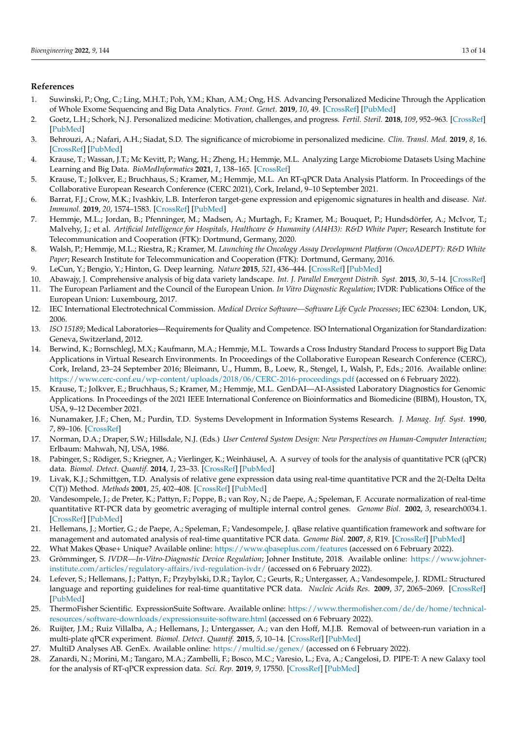### **References**

- <span id="page-12-0"></span>1. Suwinski, P.; Ong, C.; Ling, M.H.T.; Poh, Y.M.; Khan, A.M.; Ong, H.S. Advancing Personalized Medicine Through the Application of Whole Exome Sequencing and Big Data Analytics. *Front. Genet.* **2019**, *10*, 49. [\[CrossRef\]](http://doi.org/10.3389/fgene.2019.00049) [\[PubMed\]](http://www.ncbi.nlm.nih.gov/pubmed/30809243)
- <span id="page-12-1"></span>2. Goetz, L.H.; Schork, N.J. Personalized medicine: Motivation, challenges, and progress. *Fertil. Steril.* **2018**, *109*, 952–963. [\[CrossRef\]](http://dx.doi.org/10.1016/j.fertnstert.2018.05.006) [\[PubMed\]](http://www.ncbi.nlm.nih.gov/pubmed/29935653)
- <span id="page-12-2"></span>3. Behrouzi, A.; Nafari, A.H.; Siadat, S.D. The significance of microbiome in personalized medicine. *Clin. Transl. Med.* **2019**, *8*, 16. [\[CrossRef\]](http://dx.doi.org/10.1186/s40169-019-0232-y) [\[PubMed\]](http://www.ncbi.nlm.nih.gov/pubmed/31081530)
- <span id="page-12-3"></span>4. Krause, T.; Wassan, J.T.; Mc Kevitt, P.; Wang, H.; Zheng, H.; Hemmje, M.L. Analyzing Large Microbiome Datasets Using Machine Learning and Big Data. *BioMedInformatics* **2021**, *1*, 138–165. [\[CrossRef\]](http://dx.doi.org/10.3390/biomedinformatics1030010)
- <span id="page-12-4"></span>5. Krause, T.; Jolkver, E.; Bruchhaus, S.; Kramer, M.; Hemmje, M.L. An RT-qPCR Data Analysis Platform. In Proceedings of the Collaborative European Research Conference (CERC 2021), Cork, Ireland, 9–10 September 2021.
- <span id="page-12-5"></span>6. Barrat, F.J.; Crow, M.K.; Ivashkiv, L.B. Interferon target-gene expression and epigenomic signatures in health and disease. *Nat. Immunol.* **2019**, *20*, 1574–1583. [\[CrossRef\]](http://dx.doi.org/10.1038/s41590-019-0466-2) [\[PubMed\]](http://www.ncbi.nlm.nih.gov/pubmed/31745335)
- <span id="page-12-6"></span>7. Hemmje, M.L.; Jordan, B.; Pfenninger, M.; Madsen, A.; Murtagh, F.; Kramer, M.; Bouquet, P.; Hundsdörfer, A.; McIvor, T.; Malvehy, J.; et al. *Artificial Intelligence for Hospitals, Healthcare & Humanity (AI4H3): R&D White Paper*; Research Institute for Telecommunication and Cooperation (FTK): Dortmund, Germany, 2020.
- <span id="page-12-28"></span><span id="page-12-7"></span>8. Walsh, P.; Hemmje, M.L.; Riestra, R.; Kramer, M. *Launching the Oncology Assay Development Platform (OncoADEPT): R&D White Paper*; Research Institute for Telecommunication and Cooperation (FTK): Dortmund, Germany, 2016.
- <span id="page-12-8"></span>9. LeCun, Y.; Bengio, Y.; Hinton, G. Deep learning. *Nature* **2015**, *521*, 436–444. [\[CrossRef\]](http://dx.doi.org/10.1038/nature14539) [\[PubMed\]](http://www.ncbi.nlm.nih.gov/pubmed/26017442)
- <span id="page-12-32"></span><span id="page-12-9"></span>10. Abawajy, J. Comprehensive analysis of big data variety landscape. *Int. J. Parallel Emergent Distrib. Syst.* **2015**, *30*, 5–14. [\[CrossRef\]](http://dx.doi.org/10.1080/17445760.2014.925548)
- <span id="page-12-10"></span>11. The European Parliament and the Council of the European Union. *In Vitro Diagnostic Regulation*; IVDR: Publications Office of the European Union: Luxembourg, 2017.
- <span id="page-12-11"></span>12. IEC International Electrotechnical Commission. *Medical Device Software—Software Life Cycle Processes*; IEC 62304: London, UK, 2006.
- <span id="page-12-34"></span><span id="page-12-12"></span>13. *ISO 15189*; Medical Laboratories—Requirements for Quality and Competence. ISO International Organization for Standardization: Geneva, Switzerland, 2012.
- <span id="page-12-13"></span>14. Berwind, K.; Bornschlegl, M.X.; Kaufmann, M.A.; Hemmje, M.L. Towards a Cross Industry Standard Process to support Big Data Applications in Virtual Research Environments. In Proceedings of the Collaborative European Research Conference (CERC), Cork, Ireland, 23–24 September 2016; Bleimann, U., Humm, B., Loew, R., Stengel, I., Walsh, P., Eds.; 2016. Available online: <https://www.cerc-conf.eu/wp-content/uploads/2018/06/CERC-2016-proceedings.pdf> (accessed on 6 February 2022).
- <span id="page-12-29"></span><span id="page-12-14"></span>15. Krause, T.; Jolkver, E.; Bruchhaus, S.; Kramer, M.; Hemmje, M.L. GenDAI—AI-Assisted Laboratory Diagnostics for Genomic Applications. In Proceedings of the 2021 IEEE International Conference on Bioinformatics and Biomedicine (BIBM), Houston, TX, USA, 9–12 December 2021.
- <span id="page-12-30"></span><span id="page-12-15"></span>16. Nunamaker, J.F.; Chen, M.; Purdin, T.D. Systems Development in Information Systems Research. *J. Manag. Inf. Syst.* **1990**, *7*, 89–106. [\[CrossRef\]](http://dx.doi.org/10.1080/07421222.1990.11517898)
- <span id="page-12-33"></span><span id="page-12-31"></span><span id="page-12-16"></span>17. Norman, D.A.; Draper, S.W.; Hillsdale, N.J. (Eds.) *User Centered System Design: New Perspectives on Human-Computer Interaction*; Erlbaum: Mahwah, NJ, USA, 1986.
- <span id="page-12-17"></span>18. Pabinger, S.; Rödiger, S.; Kriegner, A.; Vierlinger, K.; Weinhäusel, A. A survey of tools for the analysis of quantitative PCR (qPCR) data. *Biomol. Detect. Quantif.* **2014**, *1*, 23–33. [\[CrossRef\]](http://dx.doi.org/10.1016/j.bdq.2014.08.002) [\[PubMed\]](http://www.ncbi.nlm.nih.gov/pubmed/27920994)
- <span id="page-12-18"></span>19. Livak, K.J.; Schmittgen, T.D. Analysis of relative gene expression data using real-time quantitative PCR and the 2(-Delta Delta C(T)) Method. *Methods* **2001**, *25*, 402–408. [\[CrossRef\]](http://dx.doi.org/10.1006/meth.2001.1262) [\[PubMed\]](http://www.ncbi.nlm.nih.gov/pubmed/11846609)
- <span id="page-12-19"></span>20. Vandesompele, J.; de Preter, K.; Pattyn, F.; Poppe, B.; van Roy, N.; de Paepe, A.; Speleman, F. Accurate normalization of real-time quantitative RT-PCR data by geometric averaging of multiple internal control genes. *Genome Biol.* **2002**, *3*, research0034.1. [\[CrossRef\]](http://dx.doi.org/10.1186/gb-2002-3-7-research0034) [\[PubMed\]](http://www.ncbi.nlm.nih.gov/pubmed/12184808)
- <span id="page-12-20"></span>21. Hellemans, J.; Mortier, G.; de Paepe, A.; Speleman, F.; Vandesompele, J. qBase relative quantification framework and software for management and automated analysis of real-time quantitative PCR data. *Genome Biol.* **2007**, *8*, R19. [\[CrossRef\]](http://dx.doi.org/10.1186/gb-2007-8-2-r19) [\[PubMed\]](http://www.ncbi.nlm.nih.gov/pubmed/17291332)
- <span id="page-12-21"></span>22. What Makes Qbase+ Unique? Available online: <https://www.qbaseplus.com/features> (accessed on 6 February 2022).
- <span id="page-12-22"></span>23. Grömminger, S. *IVDR—In-Vitro-Diagnostic Device Regulation*; Johner Institute, 2018. Available online: [https://www.johner](https://www.johner-institute.com/articles/regulatory-affairs/ivd-regulation-ivdr/)[institute.com/articles/regulatory-affairs/ivd-regulation-ivdr/](https://www.johner-institute.com/articles/regulatory-affairs/ivd-regulation-ivdr/) (accessed on 6 February 2022).
- <span id="page-12-23"></span>24. Lefever, S.; Hellemans, J.; Pattyn, F.; Przybylski, D.R.; Taylor, C.; Geurts, R.; Untergasser, A.; Vandesompele, J. RDML: Structured language and reporting guidelines for real-time quantitative PCR data. *Nucleic Acids Res.* **2009**, *37*, 2065–2069. [\[CrossRef\]](http://dx.doi.org/10.1093/nar/gkp056) [\[PubMed\]](http://www.ncbi.nlm.nih.gov/pubmed/19223324)
- <span id="page-12-24"></span>25. ThermoFisher Scientific. ExpressionSuite Software. Available online: [https://www.thermofisher.com/de/de/home/technical](https://www.thermofisher.com/de/de/home/technical-resources/software-downloads/expressionsuite-software.html)[resources/software-downloads/expressionsuite-software.html](https://www.thermofisher.com/de/de/home/technical-resources/software-downloads/expressionsuite-software.html) (accessed on 6 February 2022).
- <span id="page-12-25"></span>26. Ruijter, J.M.; Ruiz Villalba, A.; Hellemans, J.; Untergasser, A.; van den Hoff, M.J.B. Removal of between-run variation in a multi-plate qPCR experiment. *Biomol. Detect. Quantif.* **2015**, *5*, 10–14. [\[CrossRef\]](http://dx.doi.org/10.1016/j.bdq.2015.07.001) [\[PubMed\]](http://www.ncbi.nlm.nih.gov/pubmed/27077038)
- <span id="page-12-26"></span>27. MultiD Analyses AB. GenEx. Available online: <https://multid.se/genex/> (accessed on 6 February 2022).
- <span id="page-12-27"></span>28. Zanardi, N.; Morini, M.; Tangaro, M.A.; Zambelli, F.; Bosco, M.C.; Varesio, L.; Eva, A.; Cangelosi, D. PIPE-T: A new Galaxy tool for the analysis of RT-qPCR expression data. *Sci. Rep.* **2019**, *9*, 17550. [\[CrossRef\]](http://dx.doi.org/10.1038/s41598-019-53155-9) [\[PubMed\]](http://www.ncbi.nlm.nih.gov/pubmed/31772190)